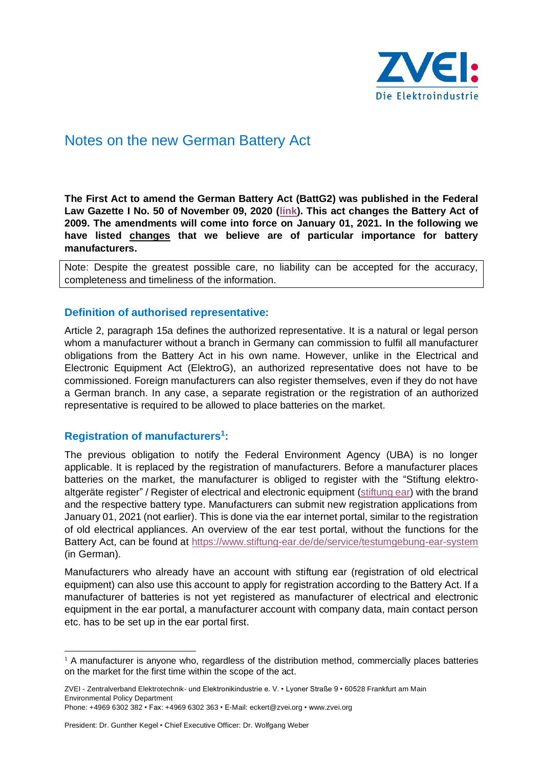

# Notes on the new German Battery Act

**The First Act to amend the German Battery Act (BattG2) was published in the Federal Law Gazette I No. 50 of November 09, 2020 [\(link\)](https://www.bgbl.de/xaver/bgbl/start.xav?startbk=Bundesanzeiger_BGBl&start=//*%5b@attr_id=%27bgbl119s2738.pdf%27%5d#__bgbl__%2F%2F*%5B%40attr_id%3D%27bgbl120s2280.pdf%27%5D__1605711859162). This act changes the Battery Act of 2009. The amendments will come into force on January 01, 2021. In the following we have listed changes that we believe are of particular importance for battery manufacturers.** 

Note: Despite the greatest possible care, no liability can be accepted for the accuracy, completeness and timeliness of the information.

#### **Definition of authorised representative:**

Article 2, paragraph 15a defines the authorized representative. It is a natural or legal person whom a manufacturer without a branch in Germany can commission to fulfil all manufacturer obligations from the Battery Act in his own name. However, unlike in the Electrical and Electronic Equipment Act (ElektroG), an authorized representative does not have to be commissioned. Foreign manufacturers can also register themselves, even if they do not have a German branch. In any case, a separate registration or the registration of an authorized representative is required to be allowed to place batteries on the market.

#### **Registration of manufacturers<sup>1</sup> :**

The previous obligation to notify the Federal Environment Agency (UBA) is no longer applicable. It is replaced by the registration of manufacturers. Before a manufacturer places batteries on the market, the manufacturer is obliged to register with the "Stiftung elektroaltgeräte register" / Register of electrical and electronic equipment [\(stiftung ear\)](https://www.stiftung-ear.de/en/home) with the brand and the respective battery type. Manufacturers can submit new registration applications from January 01, 2021 (not earlier). This is done via the ear internet portal, similar to the registration of old electrical appliances. An overview of the ear test portal, without the functions for the Battery Act, can be found at<https://www.stiftung-ear.de/de/service/testumgebung-ear-system> (in German).

Manufacturers who already have an account with stiftung ear (registration of old electrical equipment) can also use this account to apply for registration according to the Battery Act. If a manufacturer of batteries is not yet registered as manufacturer of electrical and electronic equipment in the ear portal, a manufacturer account with company data, main contact person etc. has to be set up in the ear portal first.

 $<sup>1</sup>$  A manufacturer is anyone who, regardless of the distribution method, commercially places batteries</sup> on the market for the first time within the scope of the act.

ZVEI - Zentralverband Elektrotechnik- und Elektronikindustrie e. V. • Lyoner Straße 9 • 60528 Frankfurt am Main Environmental Policy Department

Phone: +4969 6302 382 • Fax: +4969 6302 363 • E-Mail: eckert@zvei.org • www.zvei.org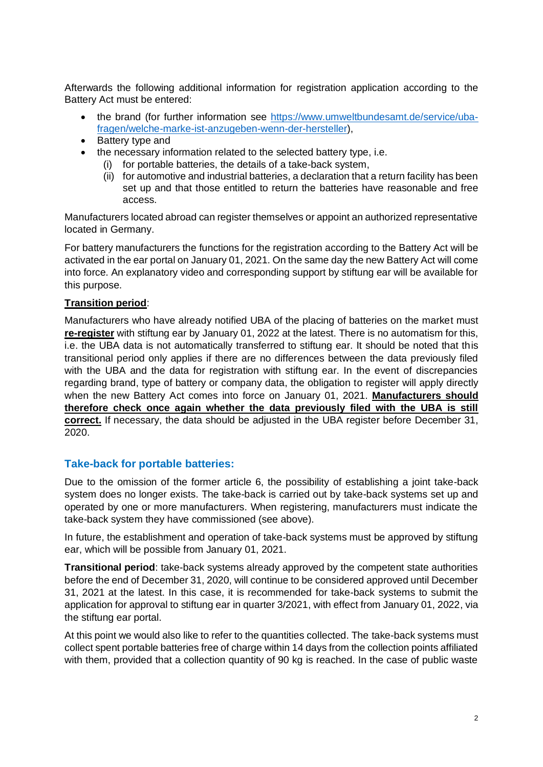Afterwards the following additional information for registration application according to the Battery Act must be entered:

- the brand (for further information see [https://www.umweltbundesamt.de/service/uba](https://www.umweltbundesamt.de/service/uba-fragen/welche-marke-ist-anzugeben-wenn-der-hersteller)[fragen/welche-marke-ist-anzugeben-wenn-der-hersteller\)](https://www.umweltbundesamt.de/service/uba-fragen/welche-marke-ist-anzugeben-wenn-der-hersteller),
- Battery type and
- the necessary information related to the selected battery type, i.e.
	- (i) for portable batteries, the details of a take-back system,
	- (ii) for automotive and industrial batteries, a declaration that a return facility has been set up and that those entitled to return the batteries have reasonable and free access.

Manufacturers located abroad can register themselves or appoint an authorized representative located in Germany.

For battery manufacturers the functions for the registration according to the Battery Act will be activated in the ear portal on January 01, 2021. On the same day the new Battery Act will come into force. An explanatory video and corresponding support by stiftung ear will be available for this purpose.

#### **Transition period**:

Manufacturers who have already notified UBA of the placing of batteries on the market must **re-register** with stiftung ear by January 01, 2022 at the latest. There is no automatism for this, i.e. the UBA data is not automatically transferred to stiftung ear. It should be noted that this transitional period only applies if there are no differences between the data previously filed with the UBA and the data for registration with stiftung ear. In the event of discrepancies regarding brand, type of battery or company data, the obligation to register will apply directly when the new Battery Act comes into force on January 01, 2021. **Manufacturers should therefore check once again whether the data previously filed with the UBA is still correct.** If necessary, the data should be adjusted in the UBA register before December 31, 2020.

## **Take-back for portable batteries:**

Due to the omission of the former article 6, the possibility of establishing a joint take-back system does no longer exists. The take-back is carried out by take-back systems set up and operated by one or more manufacturers. When registering, manufacturers must indicate the take-back system they have commissioned (see above).

In future, the establishment and operation of take-back systems must be approved by stiftung ear, which will be possible from January 01, 2021.

**Transitional period**: take-back systems already approved by the competent state authorities before the end of December 31, 2020, will continue to be considered approved until December 31, 2021 at the latest. In this case, it is recommended for take-back systems to submit the application for approval to stiftung ear in quarter 3/2021, with effect from January 01, 2022, via the stiftung ear portal.

At this point we would also like to refer to the quantities collected. The take-back systems must collect spent portable batteries free of charge within 14 days from the collection points affiliated with them, provided that a collection quantity of 90 kg is reached. In the case of public waste